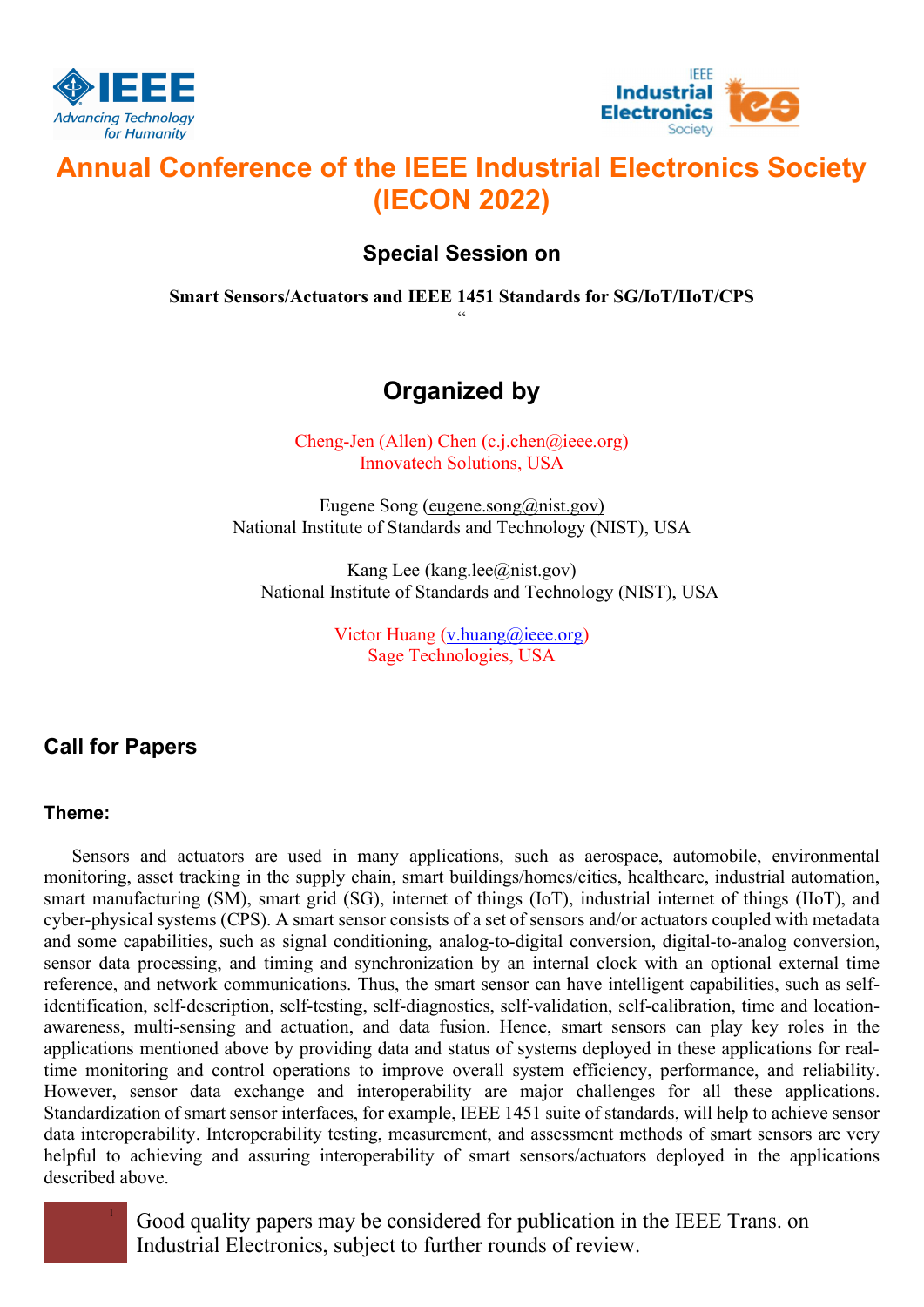



# Annual Conference of the IEEE Industrial Electronics Society (IECON 2022)

### Special Session on

Smart Sensors/Actuators and IEEE 1451 Standards for SG/IoT/IIoT/CPS "

## Organized by

Cheng-Jen (Allen) Chen (c.j.chen@ieee.org) Innovatech Solutions, USA

Eugene Song (eugene.song@nist.gov) National Institute of Standards and Technology (NIST), USA

Kang Lee (kang.lee@nist.gov) National Institute of Standards and Technology (NIST), USA

> Victor Huang (v.huang@ieee.org) Sage Technologies, USA

## Call for Papers

#### Theme:

Sensors and actuators are used in many applications, such as aerospace, automobile, environmental monitoring, asset tracking in the supply chain, smart buildings/homes/cities, healthcare, industrial automation, smart manufacturing (SM), smart grid (SG), internet of things (IoT), industrial internet of things (IIoT), and cyber-physical systems (CPS). A smart sensor consists of a set of sensors and/or actuators coupled with metadata and some capabilities, such as signal conditioning, analog-to-digital conversion, digital-to-analog conversion, sensor data processing, and timing and synchronization by an internal clock with an optional external time reference, and network communications. Thus, the smart sensor can have intelligent capabilities, such as selfidentification, self-description, self-testing, self-diagnostics, self-validation, self-calibration, time and locationawareness, multi-sensing and actuation, and data fusion. Hence, smart sensors can play key roles in the applications mentioned above by providing data and status of systems deployed in these applications for realtime monitoring and control operations to improve overall system efficiency, performance, and reliability. However, sensor data exchange and interoperability are major challenges for all these applications. Standardization of smart sensor interfaces, for example, IEEE 1451 suite of standards, will help to achieve sensor data interoperability. Interoperability testing, measurement, and assessment methods of smart sensors are very helpful to achieving and assuring interoperability of smart sensors/actuators deployed in the applications described above.

> <sup>1</sup> Good quality papers may be considered for publication in the IEEE Trans. on Industrial Electronics, subject to further rounds of review.